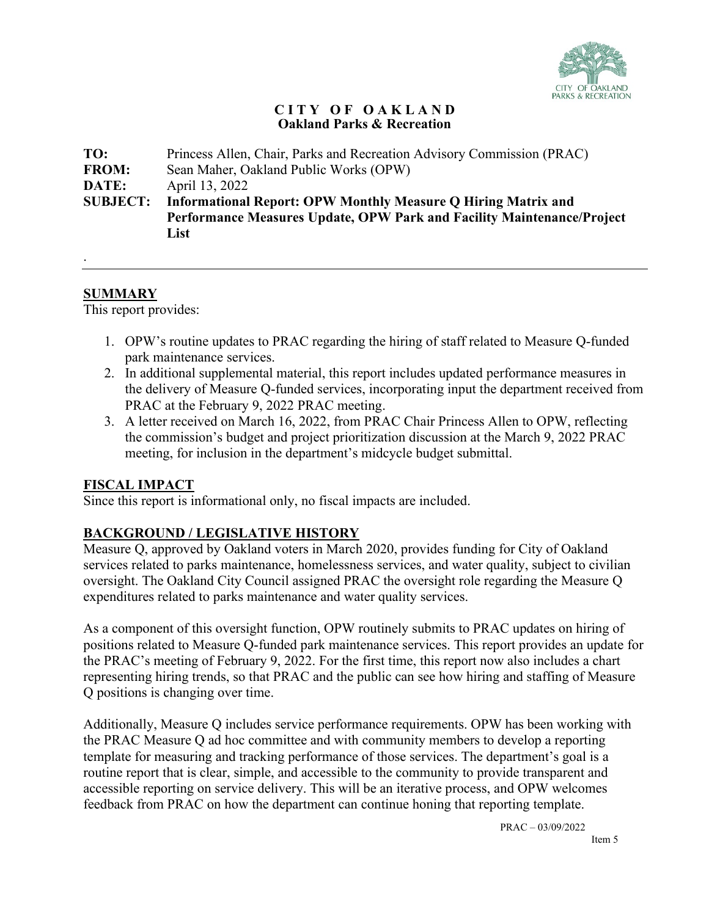

#### **C I T Y O F O A K L A N D Oakland Parks & Recreation**

| Princess Allen, Chair, Parks and Recreation Advisory Commission (PRAC) |  |  |  |  |
|------------------------------------------------------------------------|--|--|--|--|
| Sean Maher, Oakland Public Works (OPW)                                 |  |  |  |  |
|                                                                        |  |  |  |  |
|                                                                        |  |  |  |  |
| Performance Measures Update, OPW Park and Facility Maintenance/Project |  |  |  |  |
|                                                                        |  |  |  |  |
|                                                                        |  |  |  |  |

#### **SUMMARY**

.

This report provides:

- 1. OPW's routine updates to PRAC regarding the hiring of staff related to Measure Q-funded park maintenance services.
- 2. In additional supplemental material, this report includes updated performance measures in the delivery of Measure Q-funded services, incorporating input the department received from PRAC at the February 9, 2022 PRAC meeting.
- 3. A letter received on March 16, 2022, from PRAC Chair Princess Allen to OPW, reflecting the commission's budget and project prioritization discussion at the March 9, 2022 PRAC meeting, for inclusion in the department's midcycle budget submittal.

## **FISCAL IMPACT**

Since this report is informational only, no fiscal impacts are included.

## **BACKGROUND / LEGISLATIVE HISTORY**

Measure Q, approved by Oakland voters in March 2020, provides funding for City of Oakland services related to parks maintenance, homelessness services, and water quality, subject to civilian oversight. The Oakland City Council assigned PRAC the oversight role regarding the Measure Q expenditures related to parks maintenance and water quality services.

As a component of this oversight function, OPW routinely submits to PRAC updates on hiring of positions related to Measure Q-funded park maintenance services. This report provides an update for the PRAC's meeting of February 9, 2022. For the first time, this report now also includes a chart representing hiring trends, so that PRAC and the public can see how hiring and staffing of Measure Q positions is changing over time.

Additionally, Measure Q includes service performance requirements. OPW has been working with the PRAC Measure Q ad hoc committee and with community members to develop a reporting template for measuring and tracking performance of those services. The department's goal is a routine report that is clear, simple, and accessible to the community to provide transparent and accessible reporting on service delivery. This will be an iterative process, and OPW welcomes feedback from PRAC on how the department can continue honing that reporting template.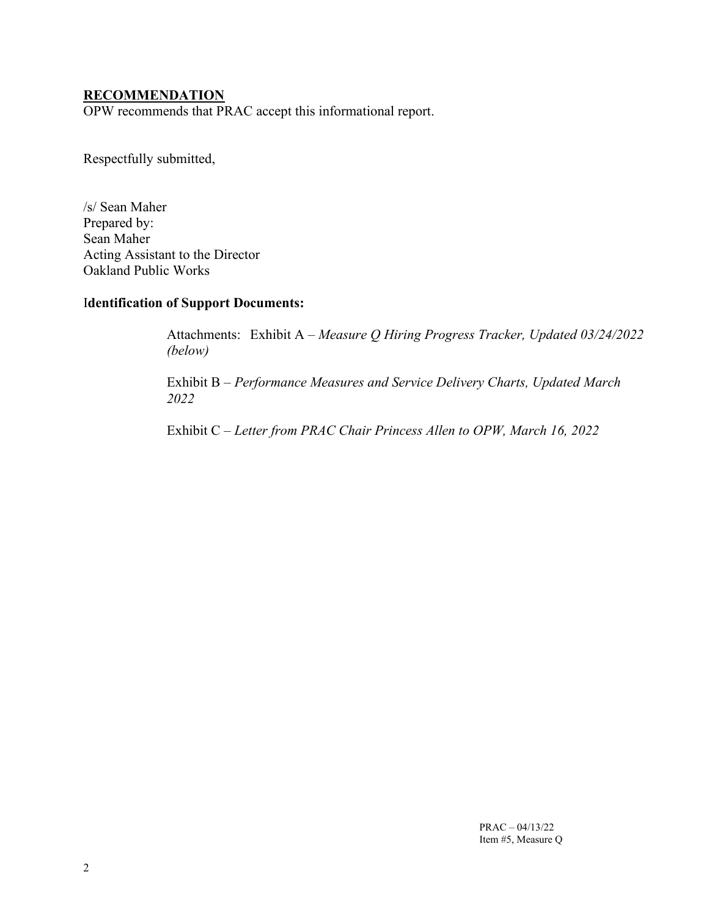#### **RECOMMENDATION**

OPW recommends that PRAC accept this informational report.

Respectfully submitted,

/s/ Sean Maher Prepared by: Sean Maher Acting Assistant to the Director Oakland Public Works

## I**dentification of Support Documents:**

Attachments: Exhibit A – *Measure Q Hiring Progress Tracker, Updated 03/24/2022 (below)*

Exhibit B – *Performance Measures and Service Delivery Charts, Updated March 2022*

Exhibit C – *Letter from PRAC Chair Princess Allen to OPW, March 16, 2022*